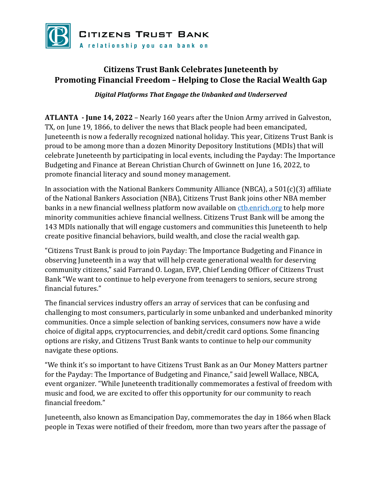

## **Citizens Trust Bank Celebrates Juneteenth by Promoting Financial Freedom – Helping to Close the Racial Wealth Gap**

*Digital Platforms That Engage the Unbanked and Underserved*

**ATLANTA - June 14, 2022** – Nearly 160 years after the Union Army arrived in Galveston, TX, on June 19, 1866, to deliver the news that Black people had been emancipated, Juneteenth is now a federally recognized national holiday. This year, Citizens Trust Bank is proud to be among more than a dozen Minority Depository Institutions (MDIs) that will celebrate Juneteenth by participating in local events, including the Payday: The Importance Budgeting and Finance at Berean Christian Church of Gwinnett on June 16, 2022, to promote financial literacy and sound money management.

In association with the National Bankers Community Alliance (NBCA), a 501(c)(3) affiliate of the National Bankers Association (NBA), Citizens Trust Bank joins other NBA member banks in a new financial wellness platform now available on [ctb.enrich.org](https://ctb.enrich.org/) to help more minority communities achieve financial wellness. Citizens Trust Bank will be among the 143 MDIs nationally that will engage customers and communities this Juneteenth to help create positive financial behaviors, build wealth, and close the racial wealth gap.

"Citizens Trust Bank is proud to join Payday: The Importance Budgeting and Finance in observing Juneteenth in a way that will help create generational wealth for deserving community citizens," said Farrand O. Logan, EVP, Chief Lending Officer of Citizens Trust Bank "We want to continue to help everyone from teenagers to seniors, secure strong financial futures."

The financial services industry offers an array of services that can be confusing and challenging to most consumers, particularly in some unbanked and underbanked minority communities. Once a simple selection of banking services, consumers now have a wide choice of digital apps, cryptocurrencies, and debit/credit card options. Some financing options are risky, and Citizens Trust Bank wants to continue to help our community navigate these options.

"We think it's so important to have Citizens Trust Bank as an Our Money Matters partner for the Payday: The Importance of Budgeting and Finance," said Jewell Wallace, NBCA, event organizer. "While Juneteenth traditionally commemorates a festival of freedom with music and food, we are excited to offer this opportunity for our community to reach financial freedom."

Juneteenth, also known as Emancipation Day, commemorates the day in 1866 when Black people in Texas were notified of their freedom, more than two years after the passage of